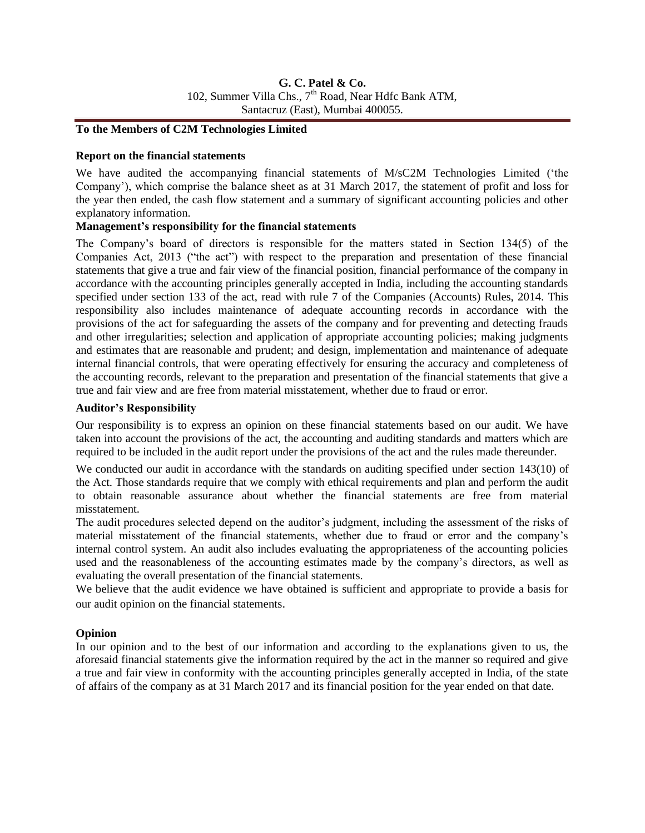## **To the Members of C2M Technologies Limited**

### **Report on the financial statements**

We have audited the accompanying financial statements of M/sC2M Technologies Limited ("the Company"), which comprise the balance sheet as at 31 March 2017, the statement of profit and loss for the year then ended, the cash flow statement and a summary of significant accounting policies and other explanatory information.

## **Management's responsibility for the financial statements**

The Company"s board of directors is responsible for the matters stated in Section 134(5) of the Companies Act, 2013 ("the act") with respect to the preparation and presentation of these financial statements that give a true and fair view of the financial position, financial performance of the company in accordance with the accounting principles generally accepted in India, including the accounting standards specified under section 133 of the act, read with rule 7 of the Companies (Accounts) Rules, 2014. This responsibility also includes maintenance of adequate accounting records in accordance with the provisions of the act for safeguarding the assets of the company and for preventing and detecting frauds and other irregularities; selection and application of appropriate accounting policies; making judgments and estimates that are reasonable and prudent; and design, implementation and maintenance of adequate internal financial controls, that were operating effectively for ensuring the accuracy and completeness of the accounting records, relevant to the preparation and presentation of the financial statements that give a true and fair view and are free from material misstatement, whether due to fraud or error.

### **Auditor's Responsibility**

Our responsibility is to express an opinion on these financial statements based on our audit. We have taken into account the provisions of the act, the accounting and auditing standards and matters which are required to be included in the audit report under the provisions of the act and the rules made thereunder.

We conducted our audit in accordance with the standards on auditing specified under section 143(10) of the Act. Those standards require that we comply with ethical requirements and plan and perform the audit to obtain reasonable assurance about whether the financial statements are free from material misstatement.

The audit procedures selected depend on the auditor"s judgment, including the assessment of the risks of material misstatement of the financial statements, whether due to fraud or error and the company"s internal control system. An audit also includes evaluating the appropriateness of the accounting policies used and the reasonableness of the accounting estimates made by the company's directors, as well as evaluating the overall presentation of the financial statements.

We believe that the audit evidence we have obtained is sufficient and appropriate to provide a basis for our audit opinion on the financial statements.

## **Opinion**

In our opinion and to the best of our information and according to the explanations given to us, the aforesaid financial statements give the information required by the act in the manner so required and give a true and fair view in conformity with the accounting principles generally accepted in India, of the state of affairs of the company as at 31 March 2017 and its financial position for the year ended on that date.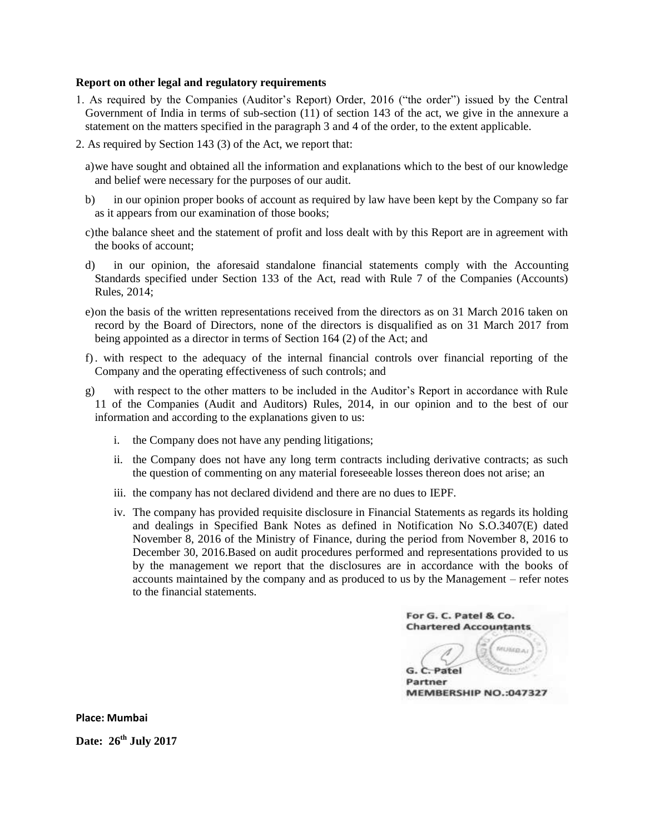#### **Report on other legal and regulatory requirements**

- 1. As required by the Companies (Auditor"s Report) Order, 2016 ("the order") issued by the Central Government of India in terms of sub-section (11) of section 143 of the act, we give in the annexure a statement on the matters specified in the paragraph 3 and 4 of the order, to the extent applicable.
- 2. As required by Section 143 (3) of the Act, we report that:
	- a)we have sought and obtained all the information and explanations which to the best of our knowledge and belief were necessary for the purposes of our audit.
	- b) in our opinion proper books of account as required by law have been kept by the Company so far as it appears from our examination of those books;
	- c)the balance sheet and the statement of profit and loss dealt with by this Report are in agreement with the books of account;
	- d) in our opinion, the aforesaid standalone financial statements comply with the Accounting Standards specified under Section 133 of the Act, read with Rule 7 of the Companies (Accounts) Rules, 2014;
	- e)on the basis of the written representations received from the directors as on 31 March 2016 taken on record by the Board of Directors, none of the directors is disqualified as on 31 March 2017 from being appointed as a director in terms of Section 164 (2) of the Act; and
	- f). with respect to the adequacy of the internal financial controls over financial reporting of the Company and the operating effectiveness of such controls; and
	- g) with respect to the other matters to be included in the Auditor"s Report in accordance with Rule 11 of the Companies (Audit and Auditors) Rules, 2014, in our opinion and to the best of our information and according to the explanations given to us:
		- i. the Company does not have any pending litigations;
		- ii. the Company does not have any long term contracts including derivative contracts; as such the question of commenting on any material foreseeable losses thereon does not arise; an
		- iii. the company has not declared dividend and there are no dues to IEPF.
		- iv. The company has provided requisite disclosure in Financial Statements as regards its holding and dealings in Specified Bank Notes as defined in Notification No S.O.3407(E) dated November 8, 2016 of the Ministry of Finance, during the period from November 8, 2016 to December 30, 2016.Based on audit procedures performed and representations provided to us by the management we report that the disclosures are in accordance with the books of accounts maintained by the company and as produced to us by the Management – refer notes to the financial statements.

For G. C. Patel & Co. **Chartered Accountants MUNICA** G. C. Patel Partner MEMBERSHIP NO.:047327

**Place: Mumbai Date: 26th July 2017**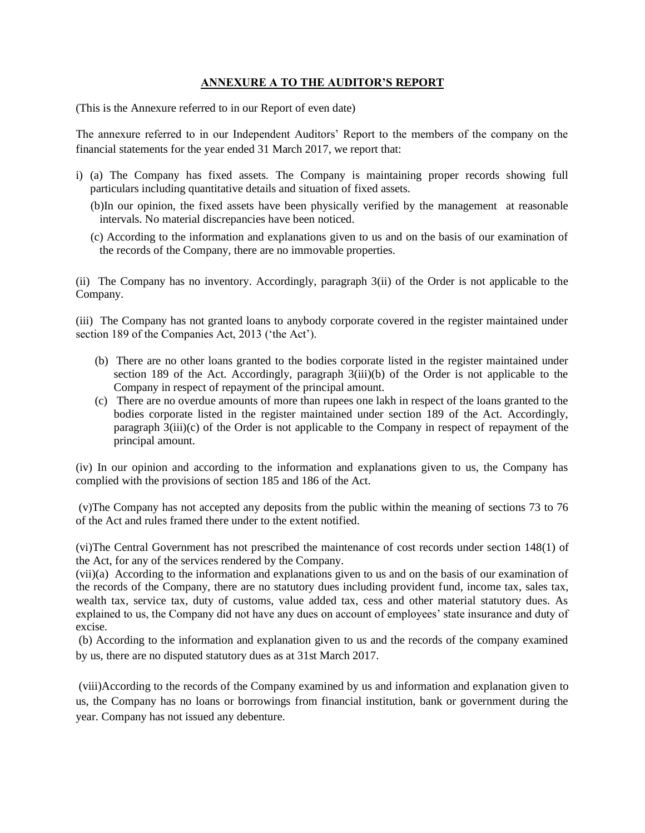## **ANNEXURE A TO THE AUDITOR'S REPORT**

(This is the Annexure referred to in our Report of even date)

The annexure referred to in our Independent Auditors" Report to the members of the company on the financial statements for the year ended 31 March 2017, we report that:

- i) (a) The Company has fixed assets. The Company is maintaining proper records showing full particulars including quantitative details and situation of fixed assets.
	- (b)In our opinion, the fixed assets have been physically verified by the management at reasonable intervals. No material discrepancies have been noticed.
	- (c) According to the information and explanations given to us and on the basis of our examination of the records of the Company, there are no immovable properties.

(ii) The Company has no inventory. Accordingly, paragraph 3(ii) of the Order is not applicable to the Company.

(iii) The Company has not granted loans to anybody corporate covered in the register maintained under section 189 of the Companies Act, 2013 ('the Act').

- (b) There are no other loans granted to the bodies corporate listed in the register maintained under section 189 of the Act. Accordingly, paragraph  $3(iii)(b)$  of the Order is not applicable to the Company in respect of repayment of the principal amount.
- (c) There are no overdue amounts of more than rupees one lakh in respect of the loans granted to the bodies corporate listed in the register maintained under section 189 of the Act. Accordingly, paragraph 3(iii)(c) of the Order is not applicable to the Company in respect of repayment of the principal amount.

(iv) In our opinion and according to the information and explanations given to us, the Company has complied with the provisions of section 185 and 186 of the Act.

(v)The Company has not accepted any deposits from the public within the meaning of sections 73 to 76 of the Act and rules framed there under to the extent notified.

(vi)The Central Government has not prescribed the maintenance of cost records under section 148(1) of the Act, for any of the services rendered by the Company.

(vii)(a) According to the information and explanations given to us and on the basis of our examination of the records of the Company, there are no statutory dues including provident fund, income tax, sales tax, wealth tax, service tax, duty of customs, value added tax, cess and other material statutory dues. As explained to us, the Company did not have any dues on account of employees" state insurance and duty of excise.

(b) According to the information and explanation given to us and the records of the company examined by us, there are no disputed statutory dues as at 31st March 2017.

(viii)According to the records of the Company examined by us and information and explanation given to us, the Company has no loans or borrowings from financial institution, bank or government during the year. Company has not issued any debenture.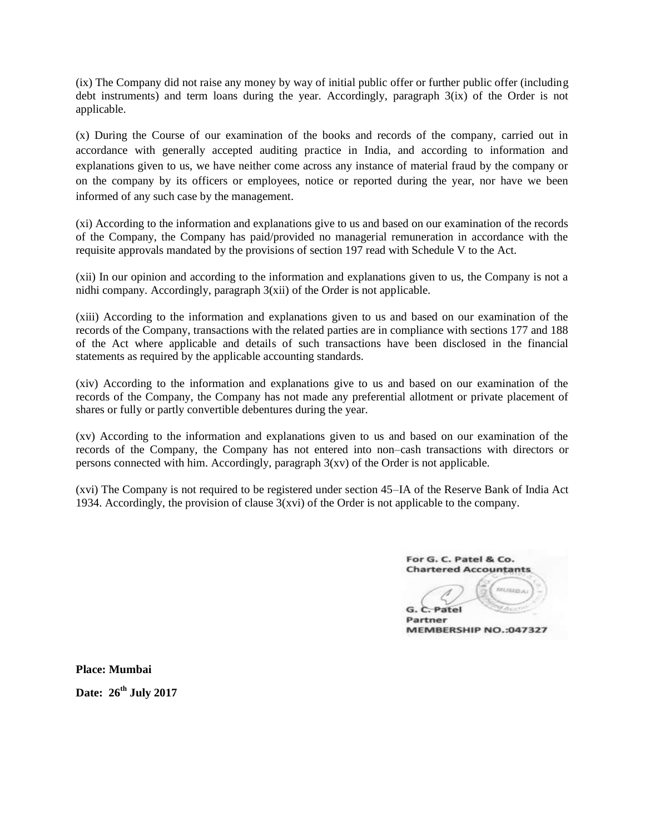(ix) The Company did not raise any money by way of initial public offer or further public offer (including debt instruments) and term loans during the year. Accordingly, paragraph  $3(ix)$  of the Order is not applicable.

(x) During the Course of our examination of the books and records of the company, carried out in accordance with generally accepted auditing practice in India, and according to information and explanations given to us, we have neither come across any instance of material fraud by the company or on the company by its officers or employees, notice or reported during the year, nor have we been informed of any such case by the management.

(xi) According to the information and explanations give to us and based on our examination of the records of the Company, the Company has paid/provided no managerial remuneration in accordance with the requisite approvals mandated by the provisions of section 197 read with Schedule V to the Act.

(xii) In our opinion and according to the information and explanations given to us, the Company is not a nidhi company. Accordingly, paragraph 3(xii) of the Order is not applicable.

(xiii) According to the information and explanations given to us and based on our examination of the records of the Company, transactions with the related parties are in compliance with sections 177 and 188 of the Act where applicable and details of such transactions have been disclosed in the financial statements as required by the applicable accounting standards.

(xiv) According to the information and explanations give to us and based on our examination of the records of the Company, the Company has not made any preferential allotment or private placement of shares or fully or partly convertible debentures during the year.

(xv) According to the information and explanations given to us and based on our examination of the records of the Company, the Company has not entered into non–cash transactions with directors or persons connected with him. Accordingly, paragraph  $3(xv)$  of the Order is not applicable.

(xvi) The Company is not required to be registered under section 45–IA of the Reserve Bank of India Act 1934. Accordingly, the provision of clause 3(xvi) of the Order is not applicable to the company.

For G. C. Patel & Co. **Chartered Accountants** titulico a  $G$ .  $C$ -Patel

Partner MEMBERSHIP NO.:047327

**Place: Mumbai Date: 26th July 2017**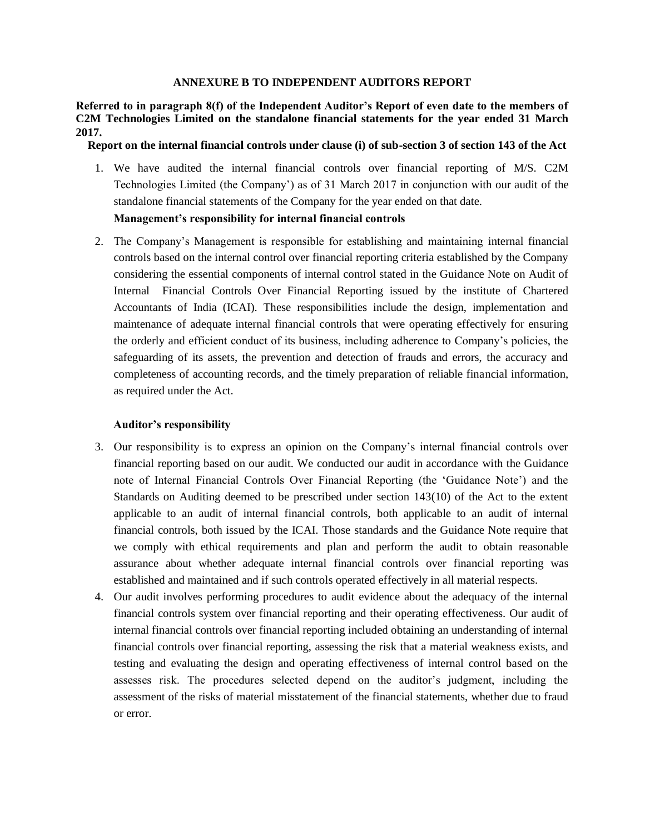#### **ANNEXURE B TO INDEPENDENT AUDITORS REPORT**

**Referred to in paragraph 8(f) of the Independent Auditor's Report of even date to the members of C2M Technologies Limited on the standalone financial statements for the year ended 31 March 2017.**

## **Report on the internal financial controls under clause (i) of sub-section 3 of section 143 of the Act**

1. We have audited the internal financial controls over financial reporting of M/S. C2M Technologies Limited (the Company") as of 31 March 2017 in conjunction with our audit of the standalone financial statements of the Company for the year ended on that date.

## **Management's responsibility for internal financial controls**

2. The Company"s Management is responsible for establishing and maintaining internal financial controls based on the internal control over financial reporting criteria established by the Company considering the essential components of internal control stated in the Guidance Note on Audit of Internal Financial Controls Over Financial Reporting issued by the institute of Chartered Accountants of India (ICAI). These responsibilities include the design, implementation and maintenance of adequate internal financial controls that were operating effectively for ensuring the orderly and efficient conduct of its business, including adherence to Company"s policies, the safeguarding of its assets, the prevention and detection of frauds and errors, the accuracy and completeness of accounting records, and the timely preparation of reliable financial information, as required under the Act.

## **Auditor's responsibility**

- 3. Our responsibility is to express an opinion on the Company"s internal financial controls over financial reporting based on our audit. We conducted our audit in accordance with the Guidance note of Internal Financial Controls Over Financial Reporting (the "Guidance Note") and the Standards on Auditing deemed to be prescribed under section 143(10) of the Act to the extent applicable to an audit of internal financial controls, both applicable to an audit of internal financial controls, both issued by the ICAI. Those standards and the Guidance Note require that we comply with ethical requirements and plan and perform the audit to obtain reasonable assurance about whether adequate internal financial controls over financial reporting was established and maintained and if such controls operated effectively in all material respects.
- 4. Our audit involves performing procedures to audit evidence about the adequacy of the internal financial controls system over financial reporting and their operating effectiveness. Our audit of internal financial controls over financial reporting included obtaining an understanding of internal financial controls over financial reporting, assessing the risk that a material weakness exists, and testing and evaluating the design and operating effectiveness of internal control based on the assesses risk. The procedures selected depend on the auditor"s judgment, including the assessment of the risks of material misstatement of the financial statements, whether due to fraud or error.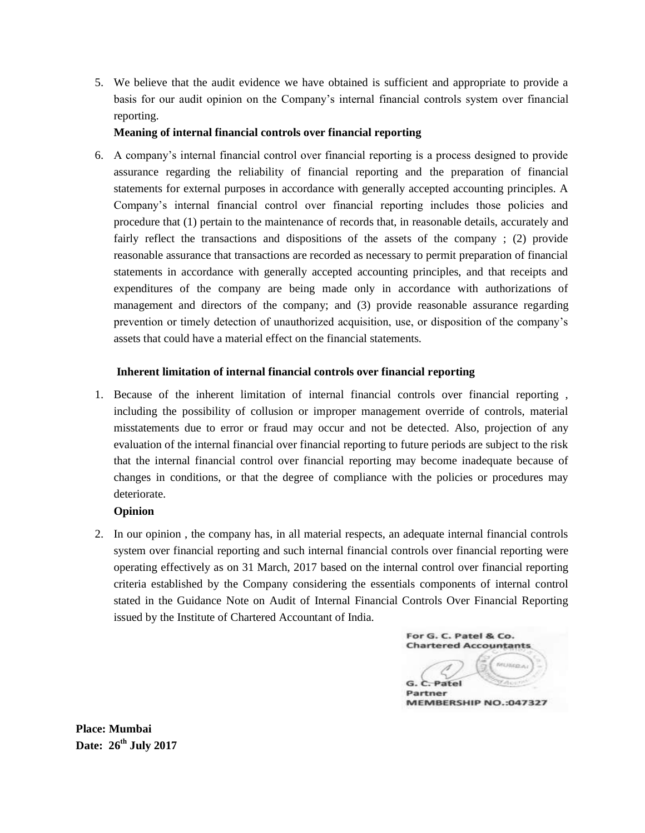5. We believe that the audit evidence we have obtained is sufficient and appropriate to provide a basis for our audit opinion on the Company"s internal financial controls system over financial reporting.

## **Meaning of internal financial controls over financial reporting**

6. A company"s internal financial control over financial reporting is a process designed to provide assurance regarding the reliability of financial reporting and the preparation of financial statements for external purposes in accordance with generally accepted accounting principles. A Company"s internal financial control over financial reporting includes those policies and procedure that (1) pertain to the maintenance of records that, in reasonable details, accurately and fairly reflect the transactions and dispositions of the assets of the company ; (2) provide reasonable assurance that transactions are recorded as necessary to permit preparation of financial statements in accordance with generally accepted accounting principles, and that receipts and expenditures of the company are being made only in accordance with authorizations of management and directors of the company; and (3) provide reasonable assurance regarding prevention or timely detection of unauthorized acquisition, use, or disposition of the company"s assets that could have a material effect on the financial statements.

## **Inherent limitation of internal financial controls over financial reporting**

1. Because of the inherent limitation of internal financial controls over financial reporting , including the possibility of collusion or improper management override of controls, material misstatements due to error or fraud may occur and not be detected. Also, projection of any evaluation of the internal financial over financial reporting to future periods are subject to the risk that the internal financial control over financial reporting may become inadequate because of changes in conditions, or that the degree of compliance with the policies or procedures may deteriorate.

## **Opinion**

2. In our opinion , the company has, in all material respects, an adequate internal financial controls system over financial reporting and such internal financial controls over financial reporting were operating effectively as on 31 March, 2017 based on the internal control over financial reporting criteria established by the Company considering the essentials components of internal control stated in the Guidance Note on Audit of Internal Financial Controls Over Financial Reporting issued by the Institute of Chartered Accountant of India.

For G. C. Patel & Co. **Chartered Accountants** G. C. Patel Partner MEMBERSHIP NO.:047327

**Place: Mumbai Date: 26th July 2017**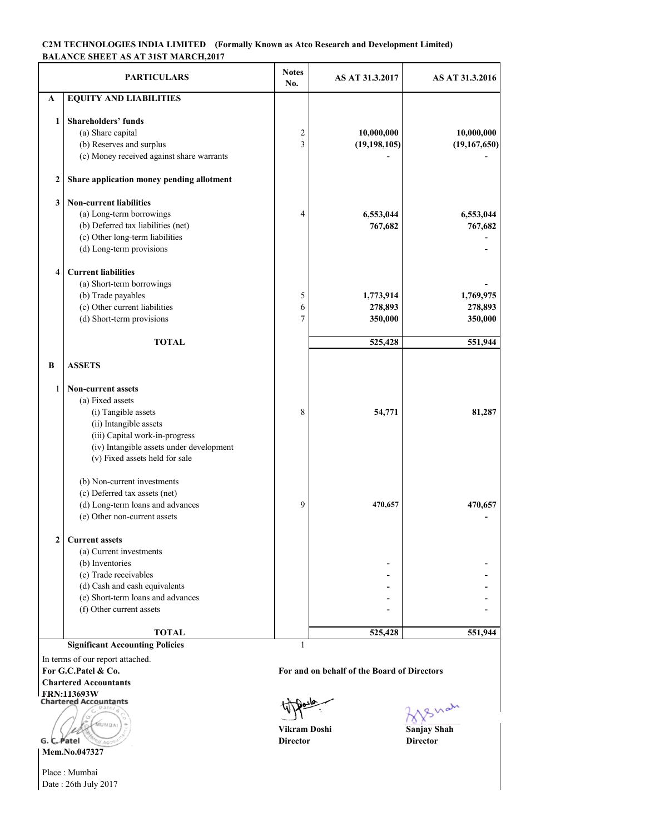#### **C2M TECHNOLOGIES INDIA LIMITED (Formally Known as Atco Research and Development Limited) BALANCE SHEET AS AT 31ST MARCH,2017**

|              | <b>PARTICULARS</b>                        | <b>Notes</b><br>No. | AS AT 31.3.2017 | AS AT 31.3.2016 |
|--------------|-------------------------------------------|---------------------|-----------------|-----------------|
| A            | <b>EQUITY AND LIABILITIES</b>             |                     |                 |                 |
|              |                                           |                     |                 |                 |
| 1            | <b>Shareholders' funds</b>                |                     |                 |                 |
|              | (a) Share capital                         | 2                   | 10,000,000      | 10,000,000      |
|              | (b) Reserves and surplus                  | 3                   | (19, 198, 105)  | (19,167,650)    |
|              | (c) Money received against share warrants |                     |                 |                 |
| $\mathbf{2}$ | Share application money pending allotment |                     |                 |                 |
| 3            | <b>Non-current liabilities</b>            |                     |                 |                 |
|              | (a) Long-term borrowings                  | 4                   | 6,553,044       | 6,553,044       |
|              | (b) Deferred tax liabilities (net)        |                     | 767,682         | 767,682         |
|              | (c) Other long-term liabilities           |                     |                 |                 |
|              | (d) Long-term provisions                  |                     |                 |                 |
| 4            | <b>Current liabilities</b>                |                     |                 |                 |
|              | (a) Short-term borrowings                 |                     |                 |                 |
|              | (b) Trade payables                        | 5                   | 1,773,914       | 1,769,975       |
|              | (c) Other current liabilities             | 6                   | 278,893         | 278,893         |
|              | (d) Short-term provisions                 | 7                   | 350,000         | 350,000         |
|              |                                           |                     |                 |                 |
|              | TOTAL                                     |                     | 525,428         | 551,944         |
| B            | <b>ASSETS</b>                             |                     |                 |                 |
| 1            | <b>Non-current assets</b>                 |                     |                 |                 |
|              | (a) Fixed assets                          |                     |                 |                 |
|              | (i) Tangible assets                       | 8                   | 54,771          | 81,287          |
|              | (ii) Intangible assets                    |                     |                 |                 |
|              | (iii) Capital work-in-progress            |                     |                 |                 |
|              | (iv) Intangible assets under development  |                     |                 |                 |
|              | (v) Fixed assets held for sale            |                     |                 |                 |
|              | (b) Non-current investments               |                     |                 |                 |
|              | (c) Deferred tax assets (net)             |                     |                 |                 |
|              | (d) Long-term loans and advances          | 9                   | 470,657         | 470,657         |
|              | (e) Other non-current assets              |                     |                 |                 |
| 2            | <b>Current assets</b>                     |                     |                 |                 |
|              | (a) Current investments                   |                     |                 |                 |
|              | (b) Inventories                           |                     |                 |                 |
|              | (c) Trade receivables                     |                     |                 |                 |
|              | (d) Cash and cash equivalents             |                     |                 |                 |
|              | (e) Short-term loans and advances         |                     |                 |                 |
|              | (f) Other current assets                  |                     |                 |                 |
|              |                                           |                     |                 |                 |
|              | <b>TOTAL</b>                              |                     | 525,428         | 551,944         |
|              | <b>Significant Accounting Policies</b>    | $\mathbf{1}$        |                 |                 |

In terms of our report attached.

**Chartered Accountants**

**FRN:113693W**

**MUMBA** G. C. Patel

**Mem.No.047327**

Place : Mumbai Date : 26th July 2017

**For G.C.Patel & Co. For and on behalf of the Board of Directors** 



**Vikram Doshi Sanjay Shah Director Director**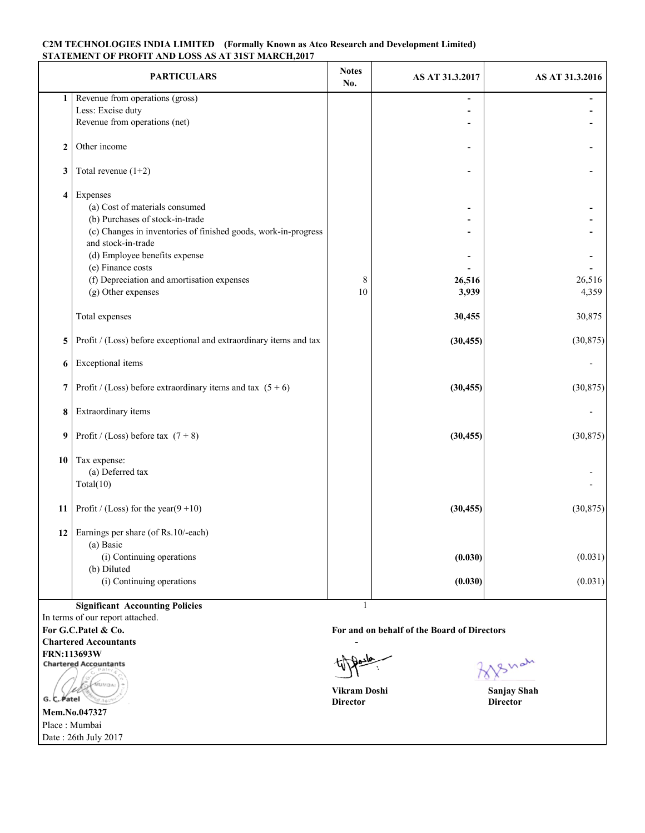#### **C2M TECHNOLOGIES INDIA LIMITED (Formally Known as Atco Research and Development Limited) STATEMENT OF PROFIT AND LOSS AS AT 31ST MARCH,2017**

|                     | <b>PARTICULARS</b>                                                                   | <b>Notes</b><br>No. | AS AT 31.3.2017 | AS AT 31.3.2016 |
|---------------------|--------------------------------------------------------------------------------------|---------------------|-----------------|-----------------|
| $1\vert$            | Revenue from operations (gross)                                                      |                     |                 |                 |
|                     | Less: Excise duty                                                                    |                     |                 |                 |
|                     | Revenue from operations (net)                                                        |                     |                 |                 |
| $\boldsymbol{2}$    | Other income                                                                         |                     |                 |                 |
| 3                   | Total revenue $(1+2)$                                                                |                     |                 |                 |
| $\overline{\bf{4}}$ | Expenses                                                                             |                     |                 |                 |
|                     | (a) Cost of materials consumed                                                       |                     |                 |                 |
|                     | (b) Purchases of stock-in-trade                                                      |                     |                 |                 |
|                     | (c) Changes in inventories of finished goods, work-in-progress<br>and stock-in-trade |                     |                 |                 |
|                     | (d) Employee benefits expense                                                        |                     |                 |                 |
|                     | (e) Finance costs                                                                    |                     |                 |                 |
|                     | (f) Depreciation and amortisation expenses                                           | 8                   | 26,516          | 26,516          |
|                     | (g) Other expenses                                                                   | 10                  | 3,939           | 4,359           |
|                     | Total expenses                                                                       |                     | 30,455          | 30,875          |
| 5                   | Profit / (Loss) before exceptional and extraordinary items and tax                   |                     | (30, 455)       | (30, 875)       |
| 6                   | Exceptional items                                                                    |                     |                 |                 |
| 7                   | Profit / (Loss) before extraordinary items and tax $(5 + 6)$                         |                     | (30, 455)       | (30, 875)       |
| 8                   | Extraordinary items                                                                  |                     |                 |                 |
| 9                   | Profit / (Loss) before tax $(7 + 8)$                                                 |                     | (30, 455)       | (30, 875)       |
| 10                  | Tax expense:                                                                         |                     |                 |                 |
|                     | (a) Deferred tax                                                                     |                     |                 |                 |
|                     | Total(10)                                                                            |                     |                 |                 |
| 11                  | Profit / (Loss) for the year( $9+10$ )                                               |                     | (30, 455)       | (30, 875)       |
| 12                  | Earnings per share (of Rs.10/-each)<br>(a) Basic                                     |                     |                 |                 |
|                     |                                                                                      |                     |                 |                 |
|                     | (i) Continuing operations<br>(b) Diluted                                             |                     | (0.030)         | (0.031)         |
|                     | (i) Continuing operations                                                            |                     | (0.030)         | (0.031)         |
|                     |                                                                                      |                     |                 |                 |
|                     | <b>Significant Accounting Policies</b>                                               | 1                   |                 |                 |

In terms of our report attached. **Chartered Accountants -**

**FRN:113693W**

**MUMBA** G. C. Patel **Mem.No.047327**

Date : 26th July 2017 Place : Mumbai

**For G.C.Patel & Co. For and on behalf of the Board of Directors** 

**Vikram Doshi Sanjay Shah** 

Shah

**Director Director**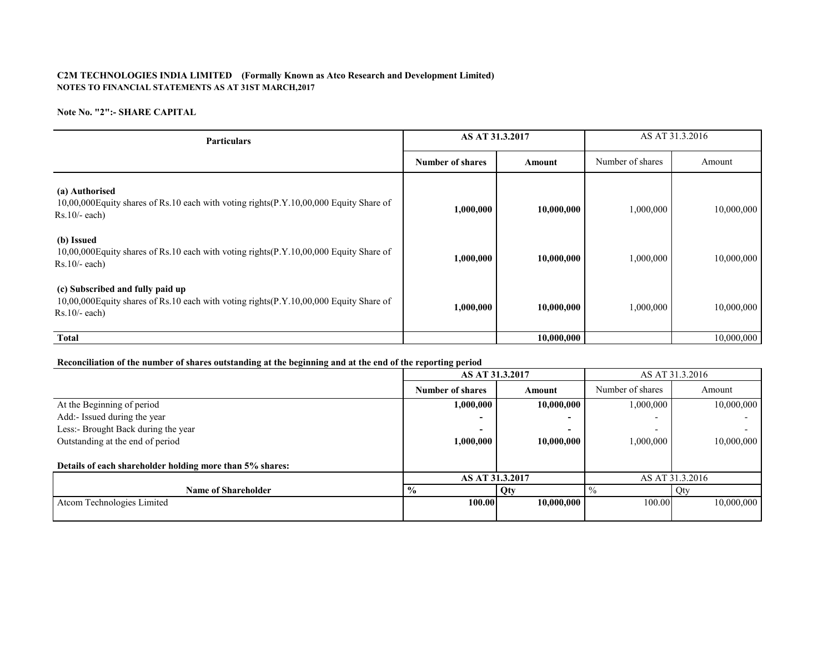#### **C2M TECHNOLOGIES INDIA LIMITED (Formally Known as Atco Research and Development Limited) NOTES TO FINANCIAL STATEMENTS AS AT 31ST MARCH,2017**

#### **Note No. "2":- SHARE CAPITAL**

| <b>Particulars</b>                                                                                                                            | AS AT 31.3.2017         |            | AS AT 31.3.2016  |            |  |
|-----------------------------------------------------------------------------------------------------------------------------------------------|-------------------------|------------|------------------|------------|--|
|                                                                                                                                               | <b>Number of shares</b> | Amount     | Number of shares | Amount     |  |
| (a) Authorised<br>10,00,000 Equity shares of Rs.10 each with voting rights(P.Y.10,00,000 Equity Share of<br>$Rs.10/- each)$                   | 1,000,000               | 10,000,000 | 1,000,000        | 10,000,000 |  |
| (b) Issued<br>10,00,000 Equity shares of Rs.10 each with voting rights (P.Y.10,00,000 Equity Share of<br>$Rs.10/-$ each)                      | 1,000,000               | 10,000,000 | 1,000,000        | 10,000,000 |  |
| (c) Subscribed and fully paid up<br>10,00,000 Equity shares of Rs.10 each with voting rights(P.Y.10,00,000 Equity Share of<br>$Rs.10/- each)$ | 1,000,000               | 10,000,000 | 1,000,000        | 10,000,000 |  |
| <b>Total</b>                                                                                                                                  |                         | 10,000,000 |                  | 10,000,000 |  |

#### **Reconciliation of the number of shares outstanding at the beginning and at the end of the reporting period**

|                                                          | AS AT 31.3.2017         |                 | AS AT 31.3.2016          |                 |  |
|----------------------------------------------------------|-------------------------|-----------------|--------------------------|-----------------|--|
|                                                          | <b>Number of shares</b> | Amount          | Number of shares         | Amount          |  |
| At the Beginning of period                               | 1,000,000               | 10,000,000      | 1,000,000                | 10,000,000      |  |
| Add:- Issued during the year                             | ۰                       | -               |                          |                 |  |
| Less:- Brought Back during the year                      | -                       | -               | $\overline{\phantom{0}}$ |                 |  |
| Outstanding at the end of period                         | 1,000,000               | 10,000,000      | 1,000,000                | 10,000,000      |  |
|                                                          |                         |                 |                          |                 |  |
| Details of each shareholder holding more than 5% shares: |                         |                 |                          |                 |  |
|                                                          |                         | AS AT 31.3.2017 |                          | AS AT 31.3.2016 |  |
| <b>Name of Shareholder</b>                               | $\frac{6}{9}$           | Qty             | $\frac{0}{0}$            | Qty             |  |
| Atcom Technologies Limited                               | 100.00                  | 10,000,000      | 100.00                   | 10.000.000      |  |
|                                                          |                         |                 |                          |                 |  |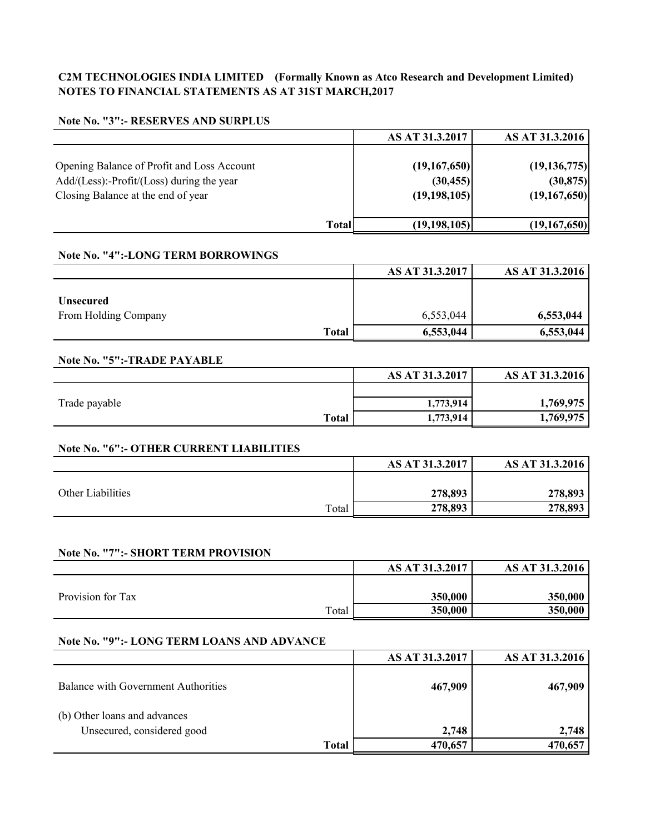## **C2M TECHNOLOGIES INDIA LIMITED (Formally Known as Atco Research and Development Limited) NOTES TO FINANCIAL STATEMENTS AS AT 31ST MARCH,2017**

### **Note No. "3":- RESERVES AND SURPLUS**

|                                                                                               | AS AT 31.3.2017           | AS AT 31.3.2016             |
|-----------------------------------------------------------------------------------------------|---------------------------|-----------------------------|
| Opening Balance of Profit and Loss Account<br>$Add/(Less)$ :-Profit/ $(Loss)$ during the year | (19,167,650)<br>(30, 455) | (19, 136, 775)<br>(30, 875) |
| Closing Balance at the end of year                                                            | (19, 198, 105)            | (19,167,650)                |
|                                                                                               | (19, 198, 105)<br>Total   | (19,167,650)                |

## **Note No. "4":-LONG TERM BORROWINGS**

|                      | AS AT 31.3.2017 | AS AT 31.3.2016 |
|----------------------|-----------------|-----------------|
| <b>Unsecured</b>     |                 |                 |
| From Holding Company | 6,553,044       | 6,553,044       |
| <b>Total</b>         | 6,553,044       | 6,553,044       |

## **Note No. "5":-TRADE PAYABLE**

|               |              | AS AT 31.3.2017 | AS AT 31.3.2016 |
|---------------|--------------|-----------------|-----------------|
|               |              |                 |                 |
| Trade payable |              | 1,773,914       | 1,769,975       |
|               | <b>Total</b> | 1,773,914       | 1,769,975       |

## **Note No. "6":- OTHER CURRENT LIABILITIES**

|         | AS AT 31.3.2016          |
|---------|--------------------------|
|         |                          |
| 278,893 | 278,893                  |
| 278,893 | 278,893                  |
|         | AS AT 31.3.2017<br>Total |

## **Note No. "7":- SHORT TERM PROVISION**

|                   | AS AT 31.3.2017 | AS AT 31.3.2016 |
|-------------------|-----------------|-----------------|
|                   |                 |                 |
| Provision for Tax | 350,000         | 350,000         |
| Total             | 350,000         | 350,000         |

### **Note No. "9":- LONG TERM LOANS AND ADVANCE**

|                                     | AS AT 31.3.2017 | AS AT 31.3.2016 |
|-------------------------------------|-----------------|-----------------|
| Balance with Government Authorities | 467,909         | 467,909         |
| (b) Other loans and advances        |                 |                 |
| Unsecured, considered good          | 2,748           | 2,748           |
| Total                               | 470,657         | 470,657         |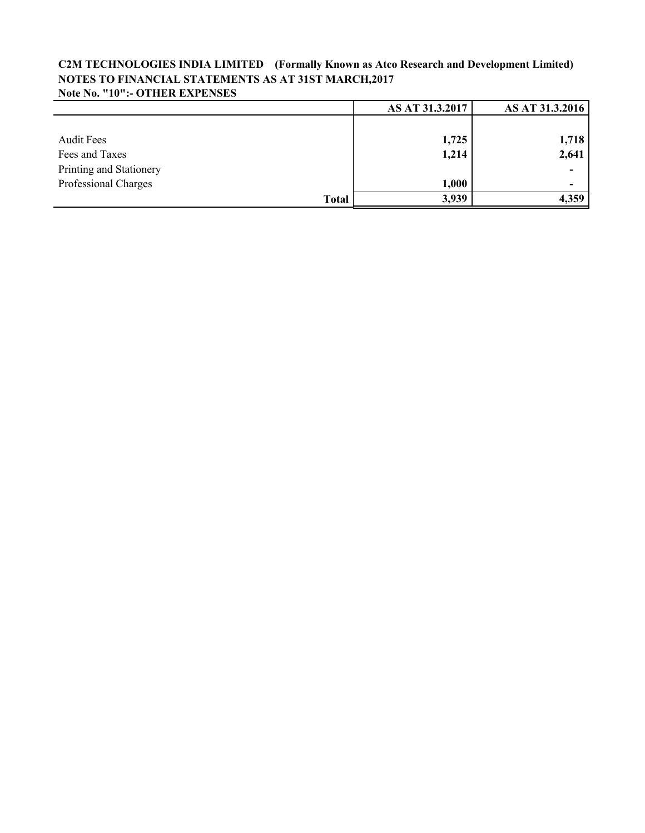## **C2M TECHNOLOGIES INDIA LIMITED (Formally Known as Atco Research and Development Limited) NOTES TO FINANCIAL STATEMENTS AS AT 31ST MARCH,2017 Note No. "10":- OTHER EXPENSES**

|                         | AS AT 31.3.2017 | AS AT 31.3.2016 |
|-------------------------|-----------------|-----------------|
|                         |                 |                 |
| <b>Audit Fees</b>       | 1,725           | 1,718           |
| Fees and Taxes          | 1,214           | 2,641           |
| Printing and Stationery |                 | ۰               |
| Professional Charges    | 1,000           |                 |
| <b>Total</b>            | 3,939           | 4,359           |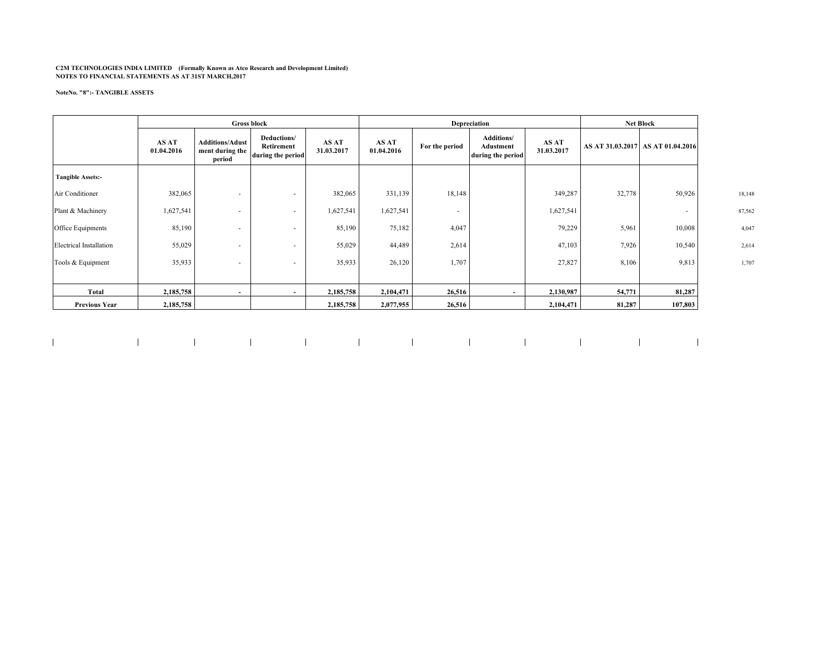# **C2M TECHNOLOGIES INDIA LIMITED (Formally Known as Atco Research and Development Limited) NOTES TO FINANCIAL STATEMENTS AS AT 31ST MARCH,2017**

#### **NoteNo. "8":- TANGIBLE ASSETS**

|                                | <b>Gross block</b>  |                                                     |                                                |                     | Depreciation        |                          |                                                     | <b>Net Block</b>    |                  |                  |        |
|--------------------------------|---------------------|-----------------------------------------------------|------------------------------------------------|---------------------|---------------------|--------------------------|-----------------------------------------------------|---------------------|------------------|------------------|--------|
|                                | AS AT<br>01.04.2016 | <b>Additions/Adust</b><br>ment during the<br>period | Deductions/<br>Retirement<br>during the period | AS AT<br>31.03.2017 | AS AT<br>01.04.2016 | For the period           | <b>Additions/</b><br>Adustment<br>during the period | AS AT<br>31.03.2017 | AS AT 31.03.2017 | AS AT 01.04.2016 |        |
| <b>Tangible Assets:-</b>       |                     |                                                     |                                                |                     |                     |                          |                                                     |                     |                  |                  |        |
| Air Conditioner                | 382,065             |                                                     |                                                | 382,065             | 331,139             | 18,148                   |                                                     | 349,287             | 32,778           | 50,926           | 18,148 |
| Plant & Machinery              | 1,627,541           |                                                     |                                                | 1,627,541           | 1,627,541           | $\overline{\phantom{a}}$ |                                                     | 1,627,541           |                  |                  | 87,562 |
| Office Equipments              | 85,190              | $\overline{\phantom{a}}$                            |                                                | 85,190              | 75,182              | 4,047                    |                                                     | 79,229              | 5,961            | 10,008           | 4,047  |
| <b>Electrical Installation</b> | 55,029              |                                                     | $\overline{\phantom{a}}$                       | 55,029              | 44,489              | 2,614                    |                                                     | 47,103              | 7,926            | 10,540           | 2,614  |
| Tools & Equipment              | 35,933              | $\overline{\phantom{a}}$                            | $\overline{\phantom{a}}$                       | 35,933              | 26,120              | 1,707                    |                                                     | 27,827              | 8,106            | 9,813            | 1,707  |
|                                |                     |                                                     |                                                |                     |                     |                          |                                                     |                     |                  |                  |        |
| Total                          | 2,185,758           |                                                     |                                                | 2,185,758           | 2,104,471           | 26,516                   |                                                     | 2,130,987           | 54,771           | 81,287           |        |
| <b>Previous Year</b>           | 2,185,758           |                                                     |                                                | 2,185,758           | 2,077,955           | 26,516                   |                                                     | 2,104,471           | 81,287           | 107,803          |        |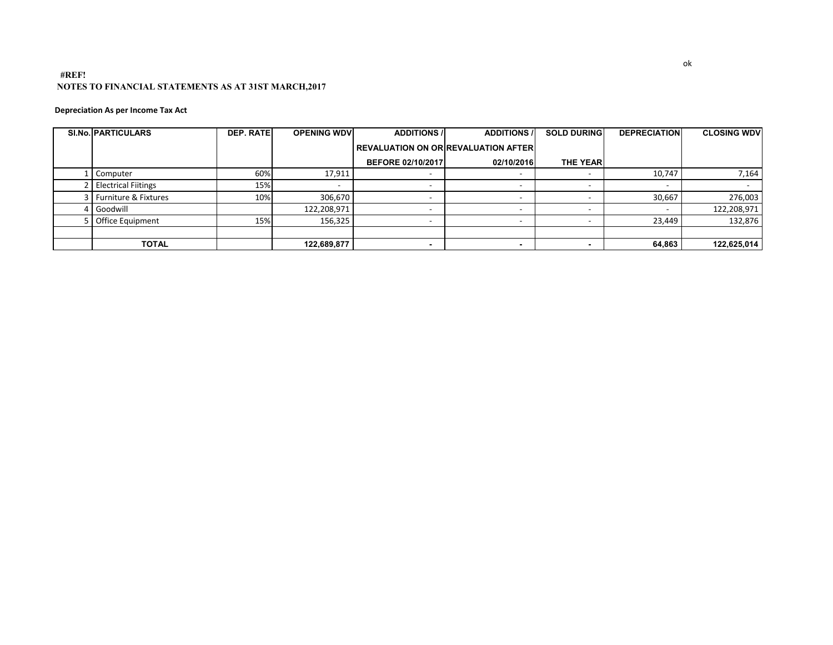#### **#REF! NOTES TO FINANCIAL STATEMENTS AS AT 31ST MARCH,2017**

#### **Depreciation As per Income Tax Act**

| <b>SI.No. PARTICULARS</b> | <b>DEP. RATE</b> | <b>OPENING WDV</b> | <b>ADDITIONS /</b>       | <b>ADDITIONS /</b>                         | <b>SOLD DURING</b> | <b>DEPRECIATION</b>      | <b>CLOSING WDV</b> |
|---------------------------|------------------|--------------------|--------------------------|--------------------------------------------|--------------------|--------------------------|--------------------|
|                           |                  |                    |                          | <b>REVALUATION ON OR REVALUATION AFTER</b> |                    |                          |                    |
|                           |                  |                    | <b>BEFORE 02/10/2017</b> | 02/10/2016                                 | <b>THE YEAR</b>    |                          |                    |
| Computer                  | 60%              | 17,911             |                          |                                            |                    | 10,747                   | 7,164              |
| 2 Electrical Fiitings     | 15%              |                    | $\overline{\phantom{a}}$ |                                            |                    | $\overline{\phantom{a}}$ |                    |
| 3   Furniture & Fixtures  | 10%              | 306,670            | $\overline{\phantom{0}}$ |                                            |                    | 30,667                   | 276,003            |
| Goodwill                  |                  | 122,208,971        | $\overline{\phantom{0}}$ | $\overline{\phantom{a}}$                   | -                  |                          | 122,208,971        |
| 5 Office Equipment        | 15%              | 156,325            | $\overline{\phantom{a}}$ |                                            |                    | 23,449                   | 132,876            |
|                           |                  |                    |                          |                                            |                    |                          |                    |
| <b>TOTAL</b>              |                  | 122,689,877        |                          |                                            |                    | 64.863                   | 122,625,014        |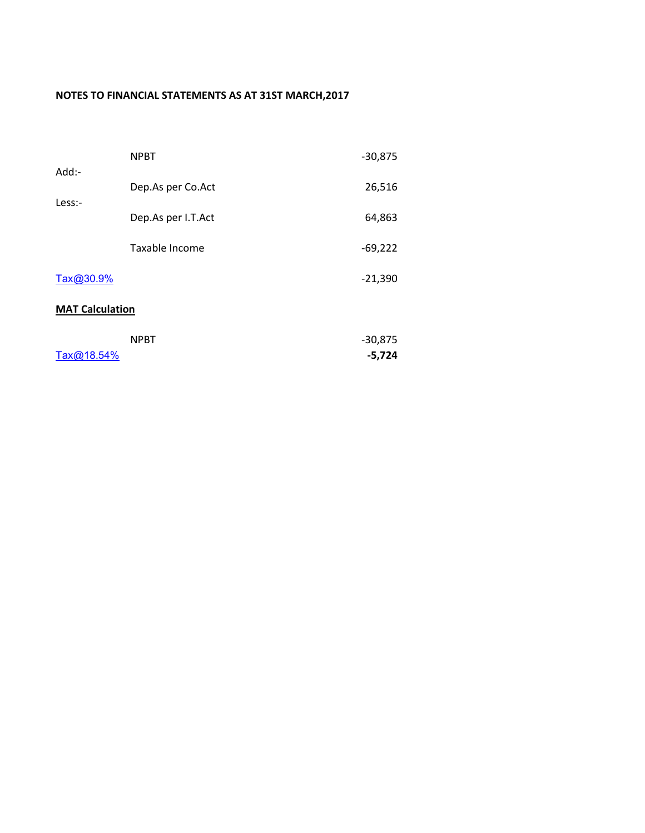## **NOTES TO FINANCIAL STATEMENTS AS AT 31ST MARCH,2017**

| $Add$ :-               | <b>NPBT</b>        | $-30,875$             |
|------------------------|--------------------|-----------------------|
|                        | Dep.As per Co.Act  | 26,516                |
| Less:-                 | Dep.As per I.T.Act | 64,863                |
|                        | Taxable Income     | $-69,222$             |
| Tax@30.9%              |                    | $-21,390$             |
| <b>MAT Calculation</b> |                    |                       |
| Tax@18.54%             | <b>NPBT</b>        | $-30,875$<br>$-5,724$ |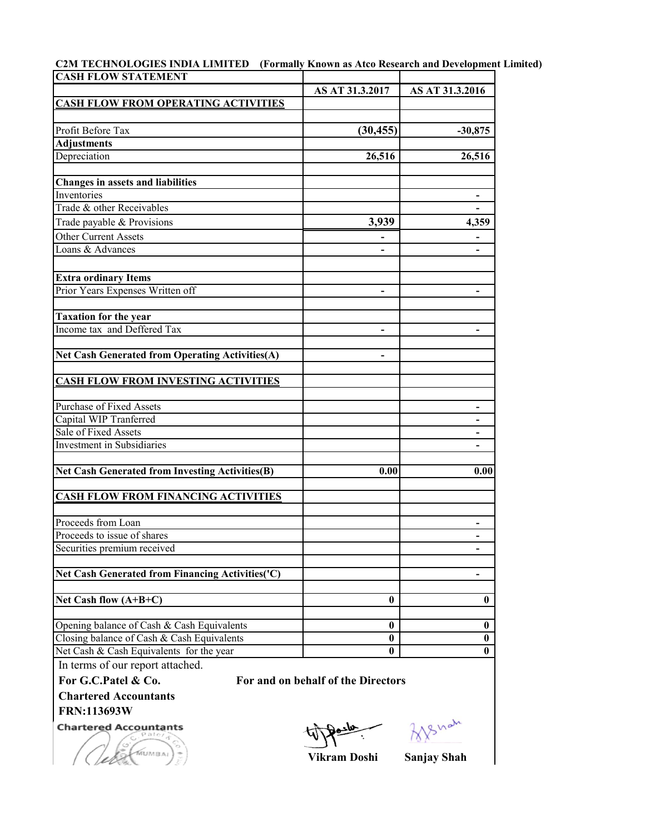| C2M TECHNOLOGIES INDIA LIMITED (Formally Known as Atco Research and Development Limited) |  |  |
|------------------------------------------------------------------------------------------|--|--|
| ICASH EI OW STATEMENT                                                                    |  |  |

| <b>CASH FLOW STATEMENT</b>                                                   |                          |                 |
|------------------------------------------------------------------------------|--------------------------|-----------------|
|                                                                              | AS AT 31.3.2017          | AS AT 31.3.2016 |
| <b>CASH FLOW FROM OPERATING ACTIVITIES</b>                                   |                          |                 |
|                                                                              |                          |                 |
| Profit Before Tax                                                            | (30, 455)                | $-30,875$       |
| <b>Adjustments</b>                                                           |                          |                 |
| Depreciation                                                                 | 26,516                   | 26,516          |
| <b>Changes in assets and liabilities</b>                                     |                          |                 |
| Inventories                                                                  |                          |                 |
| Trade & other Receivables                                                    |                          |                 |
| Trade payable & Provisions                                                   | 3,939                    | 4,359           |
| Other Current Assets                                                         |                          |                 |
| Loans & Advances                                                             |                          |                 |
| <b>Extra ordinary Items</b>                                                  |                          |                 |
| Prior Years Expenses Written off                                             | $\overline{\phantom{a}}$ | -               |
| <b>Taxation for the year</b>                                                 |                          |                 |
| Income tax and Deffered Tax                                                  | $\overline{\phantom{a}}$ |                 |
| Net Cash Generated from Operating Activities(A)                              |                          |                 |
| <b>CASH FLOW FROM INVESTING ACTIVITIES</b>                                   |                          |                 |
| Purchase of Fixed Assets                                                     |                          |                 |
| Capital WIP Tranferred                                                       |                          |                 |
| Sale of Fixed Assets                                                         |                          |                 |
| <b>Investment</b> in Subsidiaries                                            |                          |                 |
| Net Cash Generated from Investing Activities(B)                              | 0.00                     | 0.00            |
| <b>CASH FLOW FROM FINANCING ACTIVITIES</b>                                   |                          |                 |
| Proceeds from Loan                                                           |                          |                 |
| Proceeds to issue of shares                                                  |                          |                 |
| Securities premium received                                                  |                          |                 |
| Net Cash Generated from Financing Activities('C)                             |                          |                 |
| Net Cash flow $(A+B+C)$                                                      | 0                        | $\mathbf{0}$    |
|                                                                              |                          |                 |
| Opening balance of Cash & Cash Equivalents                                   | 0                        | $\bf{0}$        |
| Closing balance of Cash & Cash Equivalents                                   | $\bf{0}$                 | $\bf{0}$        |
| Net Cash & Cash Equivalents for the year<br>In towns of our non out ottoohod | $\bf{0}$                 | $\bf{0}$        |

In terms of our report attached.

MUMBAL

For G.C.Patel & Co. For and on behalf of the Directors

**Chartered Accountants FRN:113693W**

**Chartered Accountants** 

Shah

**Vikram Doshi Sanjay Shah**